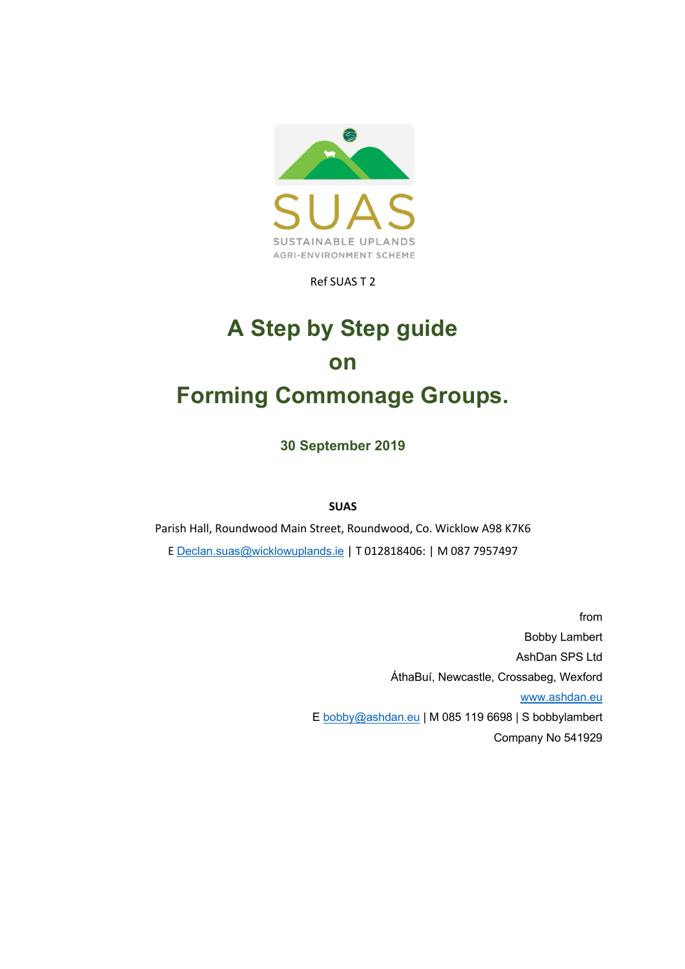

Ref SUAS T 2

# **A Step by Step guide on Forming Commonage Groups.**

**30 September 2019**

**SUAS**

Parish Hall, Roundwood Main Street, Roundwood, Co. Wicklow A98 K7K6 E Declan.suas@wicklowuplands.ie | T 012818406: | M 087 7957497

> from Bobby Lambert AshDan SPS Ltd ÁthaBuí, Newcastle, Crossabeg, Wexford www.ashdan.eu E bobby@ashdan.eu | M 085 119 6698 | S bobbylambert Company No 541929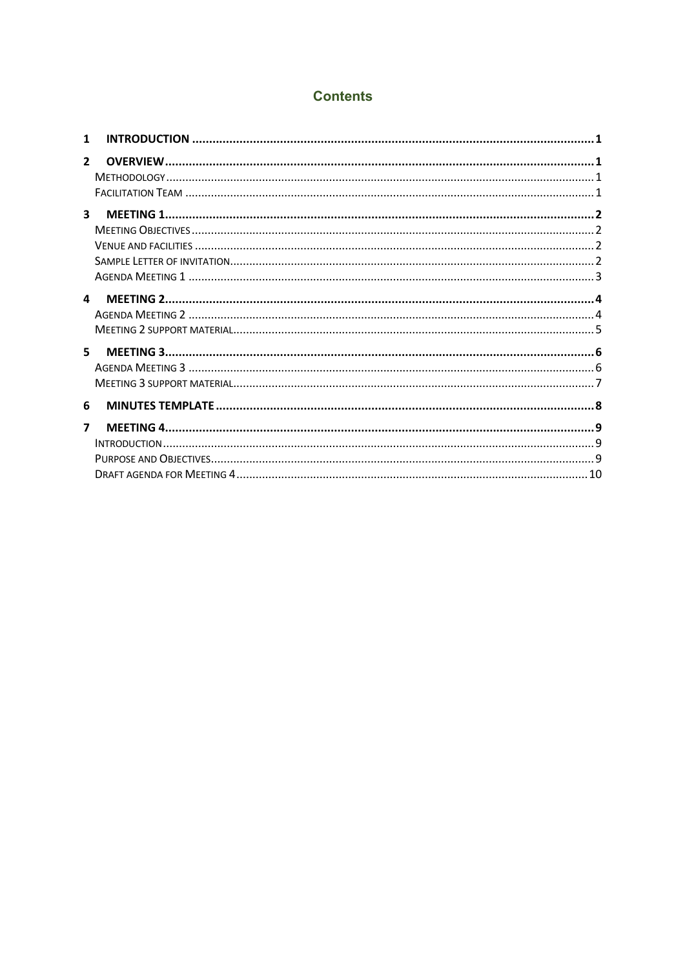#### **Contents**

| 1            |  |
|--------------|--|
| $\mathbf{2}$ |  |
| 3            |  |
| 4            |  |
| 5            |  |
| 6            |  |
| 7            |  |
|              |  |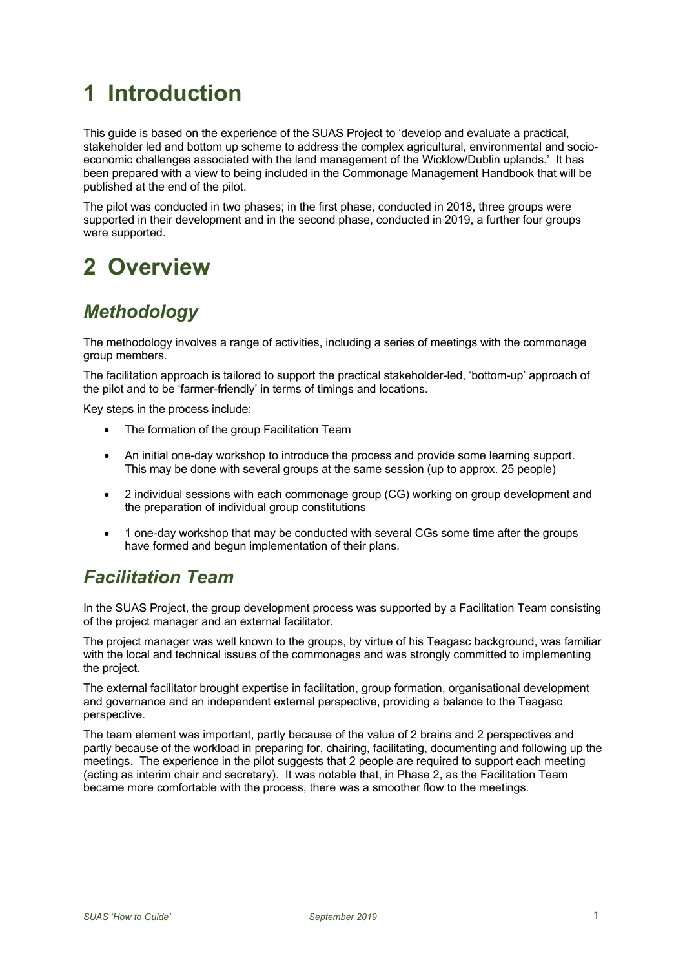# **1 Introduction**

This guide is based on the experience of the SUAS Project to 'develop and evaluate a practical, stakeholder led and bottom up scheme to address the complex agricultural, environmental and socioeconomic challenges associated with the land management of the Wicklow/Dublin uplands.' It has been prepared with a view to being included in the Commonage Management Handbook that will be published at the end of the pilot.

The pilot was conducted in two phases; in the first phase, conducted in 2018, three groups were supported in their development and in the second phase, conducted in 2019, a further four groups were supported.

## **2 Overview**

## *Methodology*

The methodology involves a range of activities, including a series of meetings with the commonage group members.

The facilitation approach is tailored to support the practical stakeholder-led, 'bottom-up' approach of the pilot and to be 'farmer-friendly' in terms of timings and locations.

Key steps in the process include:

- The formation of the group Facilitation Team
- An initial one-day workshop to introduce the process and provide some learning support. This may be done with several groups at the same session (up to approx. 25 people)
- 2 individual sessions with each commonage group (CG) working on group development and the preparation of individual group constitutions
- 1 one-day workshop that may be conducted with several CGs some time after the groups have formed and begun implementation of their plans.

### *Facilitation Team*

In the SUAS Project, the group development process was supported by a Facilitation Team consisting of the project manager and an external facilitator.

The project manager was well known to the groups, by virtue of his Teagasc background, was familiar with the local and technical issues of the commonages and was strongly committed to implementing the project.

The external facilitator brought expertise in facilitation, group formation, organisational development and governance and an independent external perspective, providing a balance to the Teagasc perspective.

The team element was important, partly because of the value of 2 brains and 2 perspectives and partly because of the workload in preparing for, chairing, facilitating, documenting and following up the meetings. The experience in the pilot suggests that 2 people are required to support each meeting (acting as interim chair and secretary). It was notable that, in Phase 2, as the Facilitation Team became more comfortable with the process, there was a smoother flow to the meetings.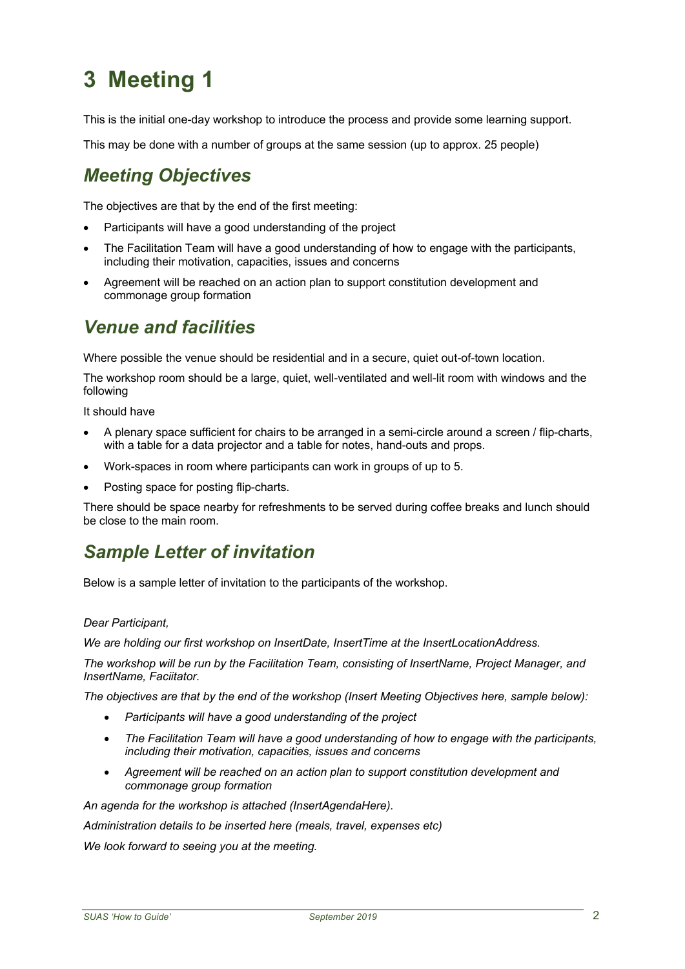This is the initial one-day workshop to introduce the process and provide some learning support.

This may be done with a number of groups at the same session (up to approx. 25 people)

### *Meeting Objectives*

The objectives are that by the end of the first meeting:

- Participants will have a good understanding of the project
- The Facilitation Team will have a good understanding of how to engage with the participants, including their motivation, capacities, issues and concerns
- Agreement will be reached on an action plan to support constitution development and commonage group formation

### *Venue and facilities*

Where possible the venue should be residential and in a secure, quiet out-of-town location.

The workshop room should be a large, quiet, well-ventilated and well-lit room with windows and the following

It should have

- A plenary space sufficient for chairs to be arranged in a semi-circle around a screen / flip-charts, with a table for a data projector and a table for notes, hand-outs and props.
- Work-spaces in room where participants can work in groups of up to 5.
- Posting space for posting flip-charts.

There should be space nearby for refreshments to be served during coffee breaks and lunch should be close to the main room.

### *Sample Letter of invitation*

Below is a sample letter of invitation to the participants of the workshop.

#### *Dear Participant,*

*We are holding our first workshop on InsertDate, InsertTime at the InsertLocationAddress.* 

*The workshop will be run by the Facilitation Team, consisting of InsertName, Project Manager, and InsertName, Faciitator.* 

*The objectives are that by the end of the workshop (Insert Meeting Objectives here, sample below):*

- *Participants will have a good understanding of the project*
- *The Facilitation Team will have a good understanding of how to engage with the participants, including their motivation, capacities, issues and concerns*
- *Agreement will be reached on an action plan to support constitution development and commonage group formation*

*An agenda for the workshop is attached (InsertAgendaHere).*

*Administration details to be inserted here (meals, travel, expenses etc)*

*We look forward to seeing you at the meeting.*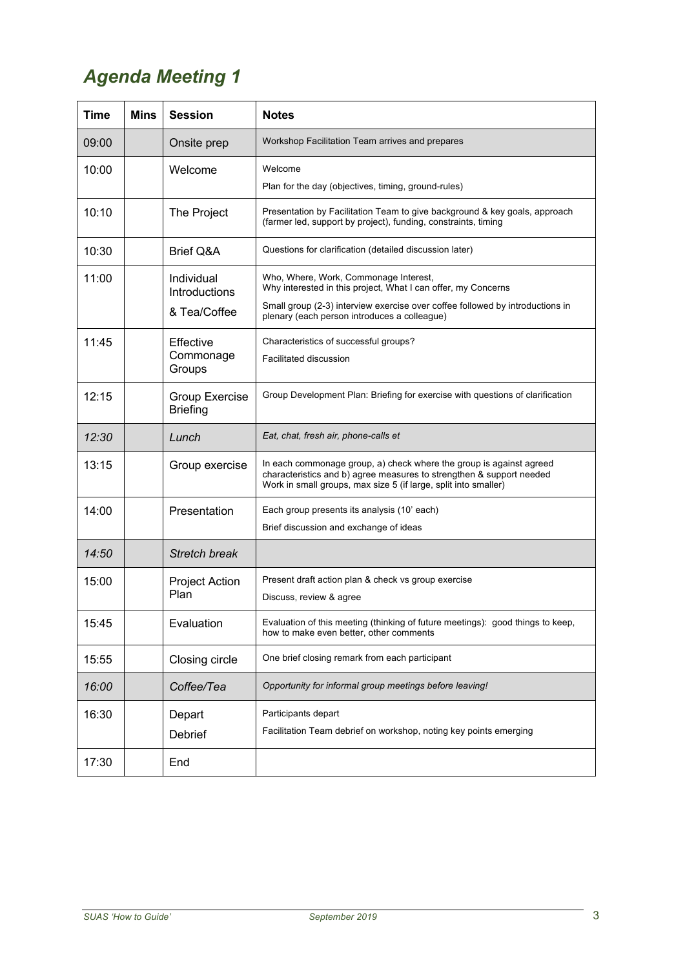## *Agenda Meeting 1*

| <b>Time</b> | <b>Mins</b> | <b>Session</b>                              | <b>Notes</b>                                                                                                                                                                                                                            |
|-------------|-------------|---------------------------------------------|-----------------------------------------------------------------------------------------------------------------------------------------------------------------------------------------------------------------------------------------|
| 09:00       |             | Onsite prep                                 | Workshop Facilitation Team arrives and prepares                                                                                                                                                                                         |
| 10:00       |             | Welcome                                     | Welcome<br>Plan for the day (objectives, timing, ground-rules)                                                                                                                                                                          |
| 10:10       |             | The Project                                 | Presentation by Facilitation Team to give background & key goals, approach<br>(farmer led, support by project), funding, constraints, timing                                                                                            |
| 10:30       |             | <b>Brief Q&amp;A</b>                        | Questions for clarification (detailed discussion later)                                                                                                                                                                                 |
| 11:00       |             | Individual<br>Introductions<br>& Tea/Coffee | Who, Where, Work, Commonage Interest,<br>Why interested in this project, What I can offer, my Concerns<br>Small group (2-3) interview exercise over coffee followed by introductions in<br>plenary (each person introduces a colleague) |
| 11:45       |             | Effective<br>Commonage<br>Groups            | Characteristics of successful groups?<br>Facilitated discussion                                                                                                                                                                         |
| 12:15       |             | Group Exercise<br><b>Briefing</b>           | Group Development Plan: Briefing for exercise with questions of clarification                                                                                                                                                           |
| 12:30       |             | Lunch                                       | Eat, chat, fresh air, phone-calls et                                                                                                                                                                                                    |
| 13:15       |             | Group exercise                              | In each commonage group, a) check where the group is against agreed<br>characteristics and b) agree measures to strengthen & support needed<br>Work in small groups, max size 5 (if large, split into smaller)                          |
| 14:00       |             | Presentation                                | Each group presents its analysis (10' each)<br>Brief discussion and exchange of ideas                                                                                                                                                   |
| 14:50       |             | <b>Stretch break</b>                        |                                                                                                                                                                                                                                         |
| 15:00       |             | <b>Project Action</b><br>Plan               | Present draft action plan & check vs group exercise<br>Discuss, review & agree                                                                                                                                                          |
| 15:45       |             | Evaluation                                  | Evaluation of this meeting (thinking of future meetings): good things to keep,<br>how to make even better, other comments                                                                                                               |
| 15:55       |             | Closing circle                              | One brief closing remark from each participant                                                                                                                                                                                          |
| 16:00       |             | Coffee/Tea                                  | Opportunity for informal group meetings before leaving!                                                                                                                                                                                 |
| 16:30       |             | Depart<br>Debrief                           | Participants depart<br>Facilitation Team debrief on workshop, noting key points emerging                                                                                                                                                |
| 17:30       |             | End                                         |                                                                                                                                                                                                                                         |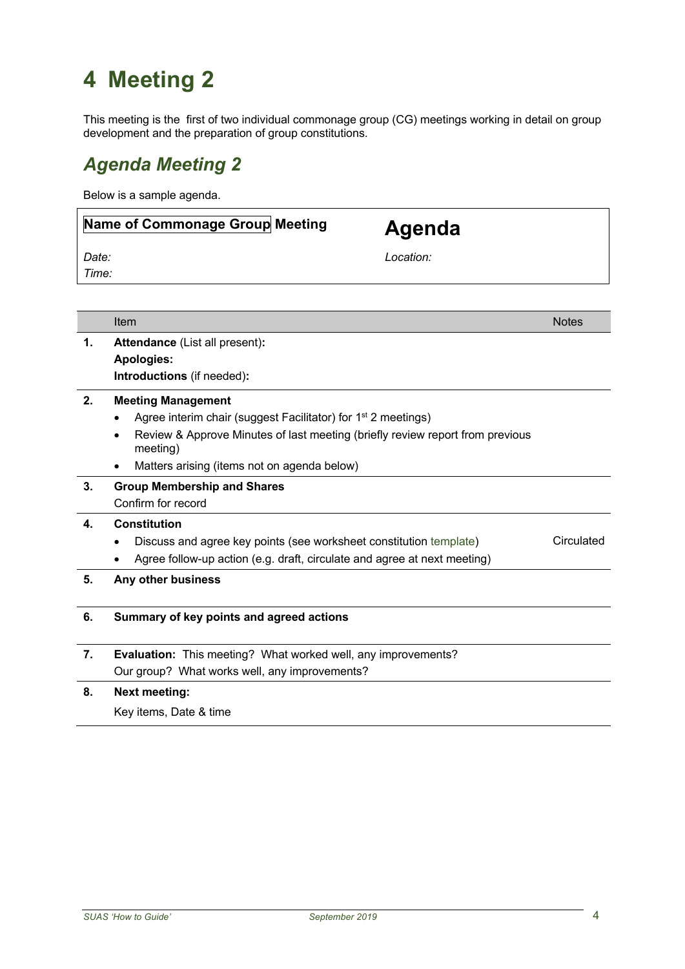This meeting is the first of two individual commonage group (CG) meetings working in detail on group development and the preparation of group constitutions.

## *Agenda Meeting 2*

Below is a sample agenda.

## **Name of Commonage Group Meeting Agenda**

*Date: Time:*

*Location:*

|    | Item                                                                                      | <b>Notes</b> |  |
|----|-------------------------------------------------------------------------------------------|--------------|--|
| 1. | <b>Attendance (List all present):</b>                                                     |              |  |
|    | <b>Apologies:</b>                                                                         |              |  |
|    | Introductions (if needed):                                                                |              |  |
| 2. | <b>Meeting Management</b>                                                                 |              |  |
|    | Agree interim chair (suggest Facilitator) for 1 <sup>st</sup> 2 meetings)                 |              |  |
|    | Review & Approve Minutes of last meeting (briefly review report from previous<br>meeting) |              |  |
|    | Matters arising (items not on agenda below)                                               |              |  |
| 3. | <b>Group Membership and Shares</b>                                                        |              |  |
|    | Confirm for record                                                                        |              |  |
| 4. | Constitution                                                                              |              |  |
|    | Discuss and agree key points (see worksheet constitution template)                        | Circulated   |  |
|    | Agree follow-up action (e.g. draft, circulate and agree at next meeting)                  |              |  |
| 5. | Any other business                                                                        |              |  |
| 6. | Summary of key points and agreed actions                                                  |              |  |
| 7. | <b>Evaluation:</b> This meeting? What worked well, any improvements?                      |              |  |
|    | Our group? What works well, any improvements?                                             |              |  |
| 8. | <b>Next meeting:</b>                                                                      |              |  |
|    | Key items, Date & time                                                                    |              |  |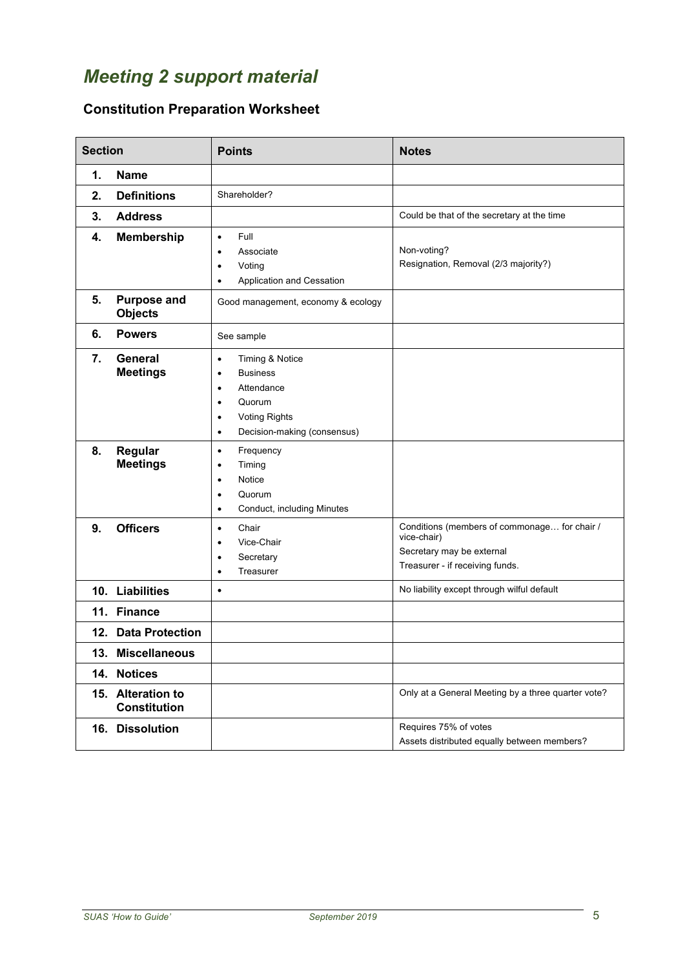## *Meeting 2 support material*

#### **Constitution Preparation Worksheet**

| <b>Section</b> |                                          | <b>Points</b>                                                                                                                                                                                   | <b>Notes</b>                                                                                                                |
|----------------|------------------------------------------|-------------------------------------------------------------------------------------------------------------------------------------------------------------------------------------------------|-----------------------------------------------------------------------------------------------------------------------------|
| 1.             | <b>Name</b>                              |                                                                                                                                                                                                 |                                                                                                                             |
| 2.             | <b>Definitions</b>                       | Shareholder?                                                                                                                                                                                    |                                                                                                                             |
| 3.             | <b>Address</b>                           |                                                                                                                                                                                                 | Could be that of the secretary at the time                                                                                  |
| 4.<br>5.       | <b>Membership</b><br><b>Purpose and</b>  | Full<br>$\bullet$<br>Associate<br>Voting<br>$\bullet$<br>Application and Cessation<br>$\bullet$<br>Good management, economy & ecology                                                           | Non-voting?<br>Resignation, Removal (2/3 majority?)                                                                         |
|                | <b>Objects</b>                           |                                                                                                                                                                                                 |                                                                                                                             |
| 6.             | <b>Powers</b>                            | See sample                                                                                                                                                                                      |                                                                                                                             |
| 7.             | General<br><b>Meetings</b>               | Timing & Notice<br>$\bullet$<br><b>Business</b><br>$\bullet$<br>Attendance<br>$\bullet$<br>Quorum<br>$\bullet$<br><b>Voting Rights</b><br>$\bullet$<br>Decision-making (consensus)<br>$\bullet$ |                                                                                                                             |
| 8.             | Regular<br><b>Meetings</b>               | Frequency<br>$\bullet$<br>Timing<br>٠<br>Notice<br>٠<br>Quorum<br>$\bullet$<br>Conduct, including Minutes<br>$\bullet$                                                                          |                                                                                                                             |
| 9.             | <b>Officers</b>                          | Chair<br>$\bullet$<br>Vice-Chair<br>$\bullet$<br>Secretary<br>$\bullet$<br>Treasurer<br>$\bullet$                                                                                               | Conditions (members of commonage for chair /<br>vice-chair)<br>Secretary may be external<br>Treasurer - if receiving funds. |
|                | 10. Liabilities                          | $\bullet$                                                                                                                                                                                       | No liability except through wilful default                                                                                  |
|                | 11. Finance                              |                                                                                                                                                                                                 |                                                                                                                             |
|                | 12. Data Protection                      |                                                                                                                                                                                                 |                                                                                                                             |
|                | 13. Miscellaneous                        |                                                                                                                                                                                                 |                                                                                                                             |
|                | 14. Notices                              |                                                                                                                                                                                                 |                                                                                                                             |
|                | 15. Alteration to<br><b>Constitution</b> |                                                                                                                                                                                                 | Only at a General Meeting by a three quarter vote?                                                                          |
|                | 16. Dissolution                          |                                                                                                                                                                                                 | Requires 75% of votes<br>Assets distributed equally between members?                                                        |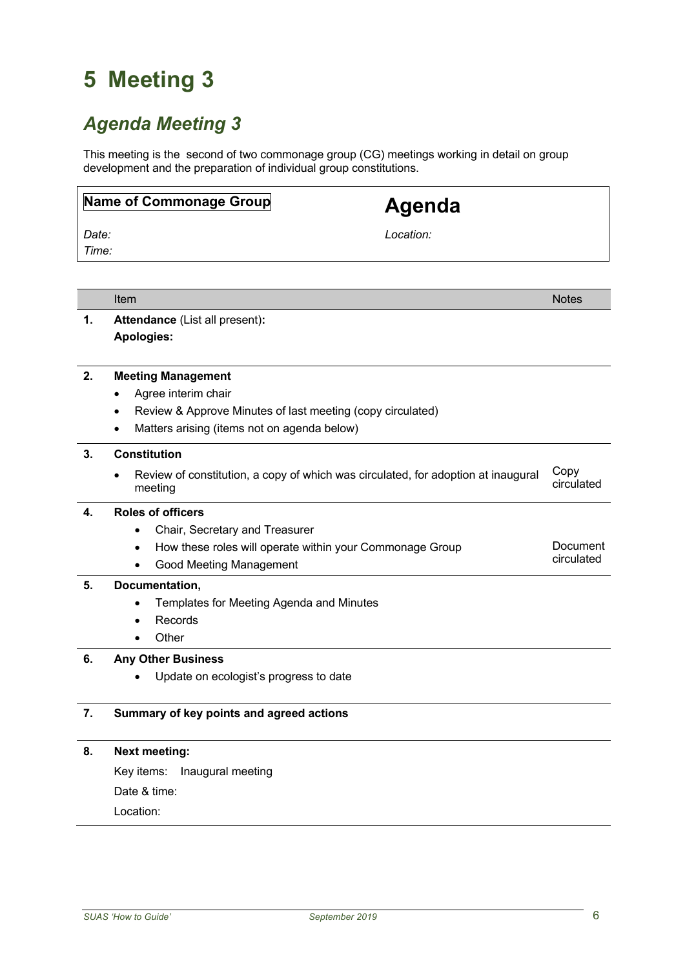## *Agenda Meeting 3*

This meeting is the second of two commonage group (CG) meetings working in detail on group development and the preparation of individual group constitutions.

|       | Name of Commonage Group                                                                | <b>Agenda</b> |              |
|-------|----------------------------------------------------------------------------------------|---------------|--------------|
| Date: |                                                                                        | Location:     |              |
| Time: |                                                                                        |               |              |
|       |                                                                                        |               |              |
|       |                                                                                        |               |              |
|       | Item                                                                                   |               | <b>Notes</b> |
| 1.    | Attendance (List all present):                                                         |               |              |
|       | Apologies:                                                                             |               |              |
|       |                                                                                        |               |              |
| 2.    | <b>Meeting Management</b>                                                              |               |              |
|       | Agree interim chair                                                                    |               |              |
|       | Review & Approve Minutes of last meeting (copy circulated)<br>٠                        |               |              |
|       | Matters arising (items not on agenda below)                                            |               |              |
| 3.    | <b>Constitution</b>                                                                    |               |              |
|       | Review of constitution, a copy of which was circulated, for adoption at inaugural<br>٠ |               | Copy         |
|       | meeting                                                                                |               | circulated   |
| 4.    | <b>Roles of officers</b>                                                               |               |              |
|       | Chair, Secretary and Treasurer<br>$\bullet$                                            |               |              |
|       | How these roles will operate within your Commonage Group<br>$\bullet$                  |               | Document     |
|       | <b>Good Meeting Management</b><br>$\bullet$                                            |               | circulated   |
| 5.    | Documentation,                                                                         |               |              |
|       | Templates for Meeting Agenda and Minutes                                               |               |              |
|       | Records                                                                                |               |              |
|       | Other                                                                                  |               |              |
| 6.    | <b>Any Other Business</b>                                                              |               |              |
|       | Update on ecologist's progress to date                                                 |               |              |
|       |                                                                                        |               |              |
| 7.    | Summary of key points and agreed actions                                               |               |              |
|       |                                                                                        |               |              |
| 8.    | <b>Next meeting:</b>                                                                   |               |              |
|       | Key items:<br>Inaugural meeting                                                        |               |              |
|       | Date & time:                                                                           |               |              |

Location: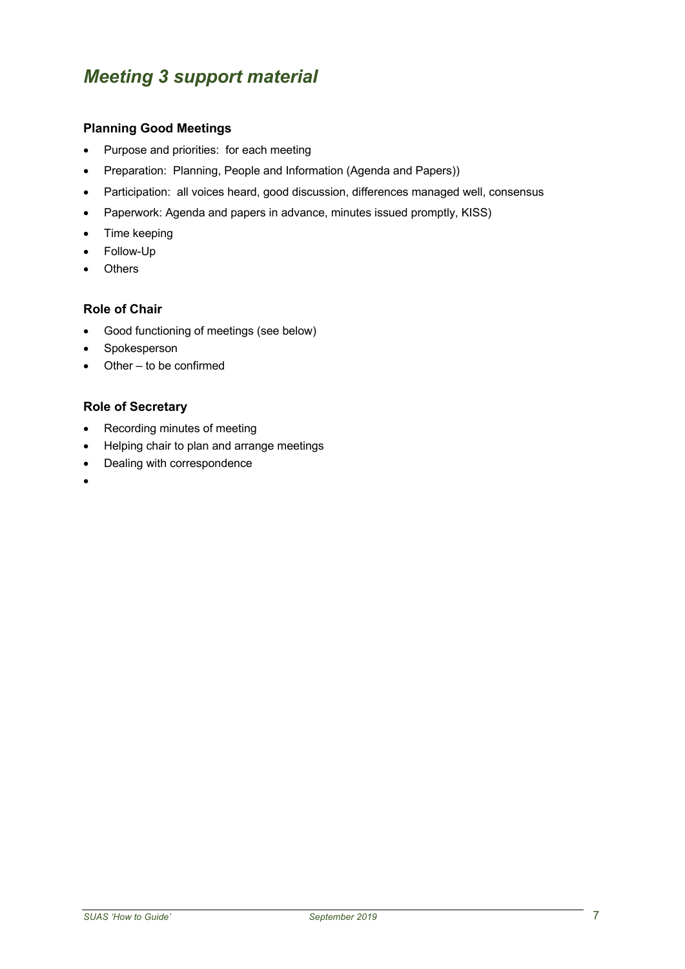## *Meeting 3 support material*

#### **Planning Good Meetings**

- Purpose and priorities: for each meeting
- Preparation: Planning, People and Information (Agenda and Papers))
- Participation: all voices heard, good discussion, differences managed well, consensus
- Paperwork: Agenda and papers in advance, minutes issued promptly, KISS)
- Time keeping
- Follow-Up
- **Others**

#### **Role of Chair**

- Good functioning of meetings (see below)
- **Spokesperson**
- Other to be confirmed

#### **Role of Secretary**

- Recording minutes of meeting
- Helping chair to plan and arrange meetings
- Dealing with correspondence
- •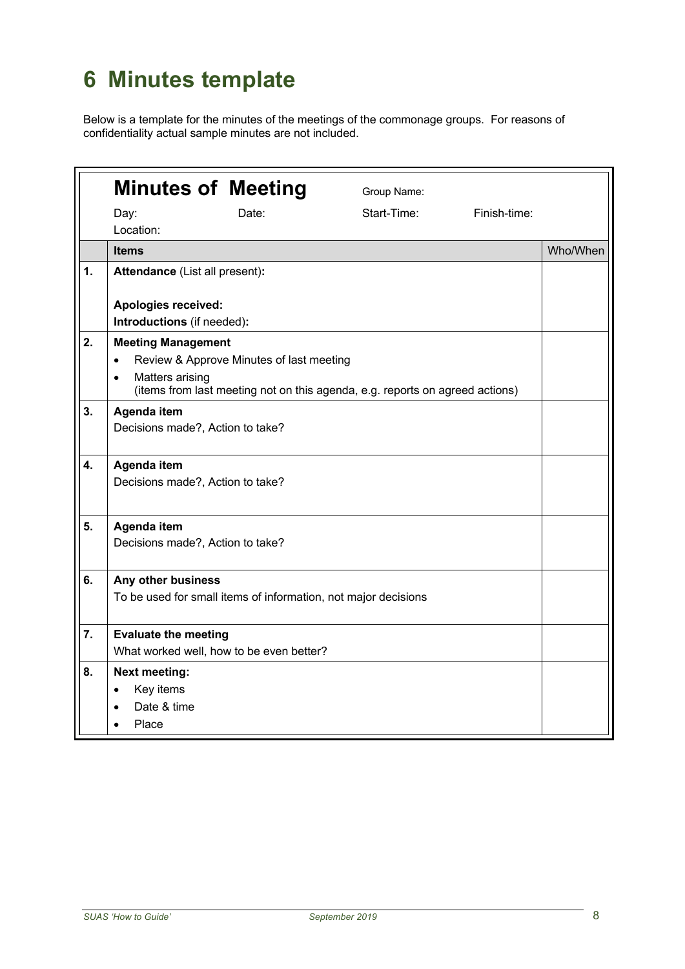# **6 Minutes template**

Below is a template for the minutes of the meetings of the commonage groups. For reasons of confidentiality actual sample minutes are not included.

|    | <b>Minutes of Meeting</b>                |                                                                              | Group Name: |              |          |
|----|------------------------------------------|------------------------------------------------------------------------------|-------------|--------------|----------|
|    | Day:                                     | Date:                                                                        | Start-Time: | Finish-time: |          |
|    | Location:                                |                                                                              |             |              |          |
|    | <b>Items</b>                             |                                                                              |             |              | Who/When |
| 1. | Attendance (List all present):           |                                                                              |             |              |          |
|    |                                          |                                                                              |             |              |          |
|    | <b>Apologies received:</b>               |                                                                              |             |              |          |
|    | Introductions (if needed):               |                                                                              |             |              |          |
| 2. | <b>Meeting Management</b>                |                                                                              |             |              |          |
|    | $\bullet$                                | Review & Approve Minutes of last meeting                                     |             |              |          |
|    | Matters arising<br>$\bullet$             | (items from last meeting not on this agenda, e.g. reports on agreed actions) |             |              |          |
| 3. | Agenda item                              |                                                                              |             |              |          |
|    | Decisions made?, Action to take?         |                                                                              |             |              |          |
|    |                                          |                                                                              |             |              |          |
| 4. | Agenda item                              |                                                                              |             |              |          |
|    | Decisions made?, Action to take?         |                                                                              |             |              |          |
|    |                                          |                                                                              |             |              |          |
| 5. | Agenda item                              |                                                                              |             |              |          |
|    | Decisions made?, Action to take?         |                                                                              |             |              |          |
|    |                                          |                                                                              |             |              |          |
| 6. | Any other business                       |                                                                              |             |              |          |
|    |                                          | To be used for small items of information, not major decisions               |             |              |          |
|    |                                          |                                                                              |             |              |          |
| 7. | <b>Evaluate the meeting</b>              |                                                                              |             |              |          |
|    | What worked well, how to be even better? |                                                                              |             |              |          |
| 8. | <b>Next meeting:</b>                     |                                                                              |             |              |          |
|    | Key items<br>$\bullet$                   |                                                                              |             |              |          |
|    | Date & time                              |                                                                              |             |              |          |
|    | Place                                    |                                                                              |             |              |          |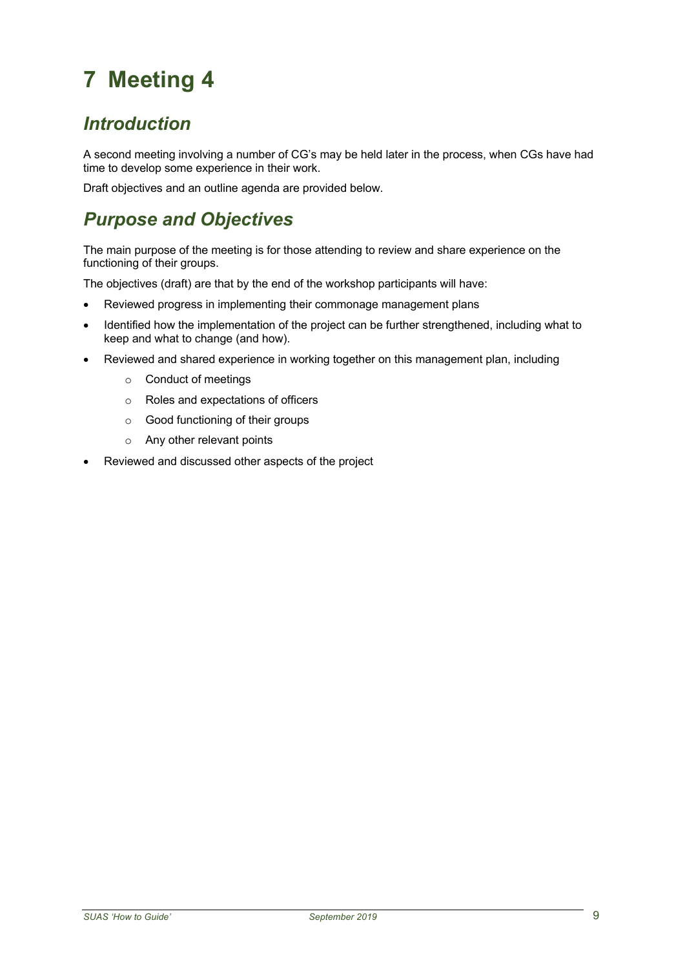## *Introduction*

A second meeting involving a number of CG's may be held later in the process, when CGs have had time to develop some experience in their work.

Draft objectives and an outline agenda are provided below.

## *Purpose and Objectives*

The main purpose of the meeting is for those attending to review and share experience on the functioning of their groups.

The objectives (draft) are that by the end of the workshop participants will have:

- Reviewed progress in implementing their commonage management plans
- Identified how the implementation of the project can be further strengthened, including what to keep and what to change (and how).
- Reviewed and shared experience in working together on this management plan, including
	- o Conduct of meetings
	- o Roles and expectations of officers
	- o Good functioning of their groups
	- o Any other relevant points
- Reviewed and discussed other aspects of the project